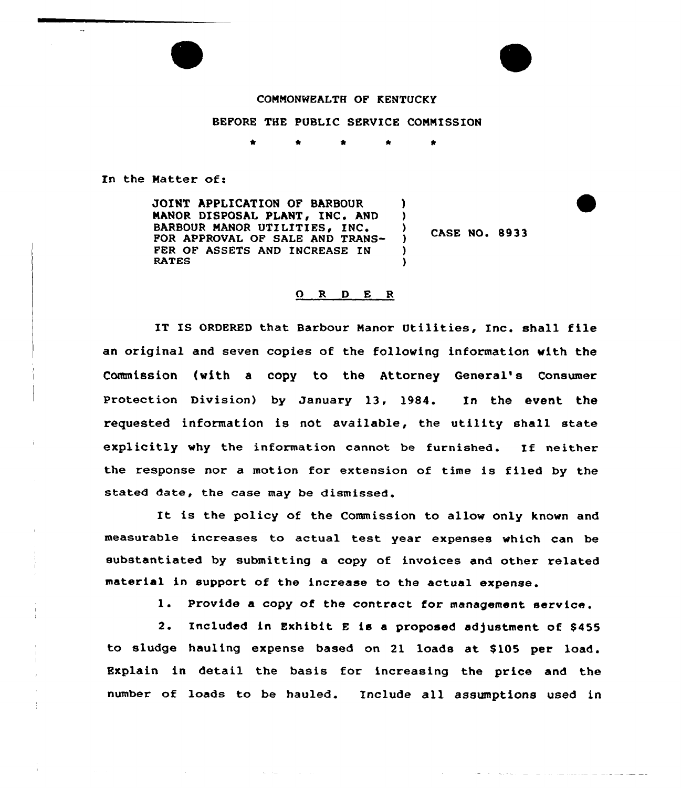## COMMONWEALTH OF KENTUCKY

## BEFORE THE PUBLIC SERVICE COMMISSION

In the Matter of:

JOINT APPLICATION OF BARBOUR ) MANOR DISPOSAL PLANT, INC. AND ) BARBOUR MANOR UTILITIES, INC. FOR APPROVAL OF SALE AND TRANS- $\lambda$ FER OF ASSETS AND INCREASE IN ) RATES )

CASE NO. 8933

المناصب والمستنقذ والمتعاد المتعادلة والمناسب

## 0 <sup>R</sup> <sup>D</sup> E <sup>R</sup>

IT IS ORDERED that Barbour Manor Utilities, Inc. shall file an original and seven copies of the following information with the Commission (with a copy to the Attorney General's Consumer Protection Division) by January 13, 1984. In the event the requested information is not available, the utility shall state explicitly why the information cannot be furnished. If neither the response nor a motion for extension of time is filed by the stated date, the case may be dismissed.

It is the policy of the Commission to allow only known and measurable increases to actual test year expenses which can be substantiated by submitting a copy of invoices and other related material in support of the increase to the actual expense.

1. Provide <sup>a</sup> copy of the contract for management service,

2. Included in Exhibit E is a proposed adjustment of \$455 to sludge hauling expense based on 21 loads at \$105 per load. Explain in detail the basis for increasing the price and the number of loads to be hauled. Include all assumptions used in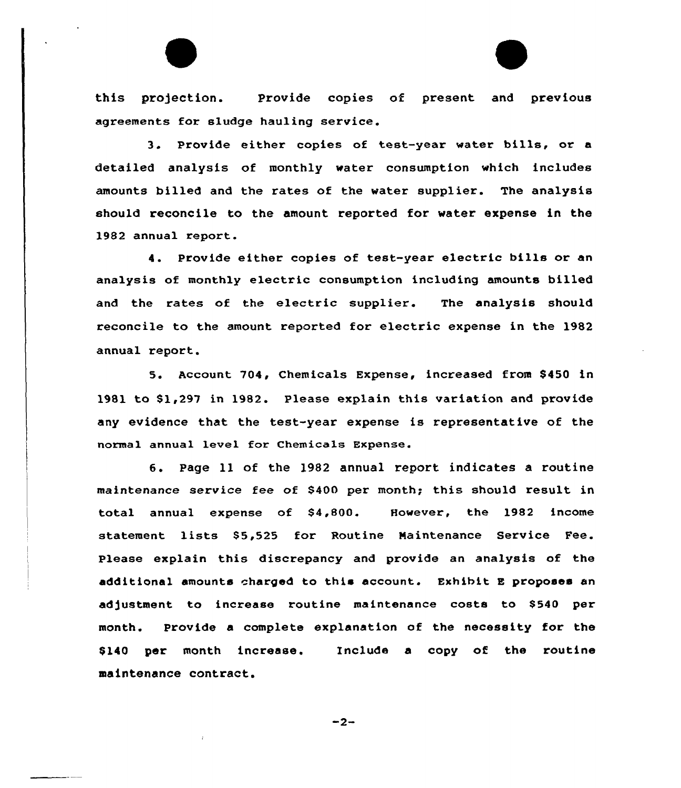this pro)ection. Provide copies of present and previous agreements for sludge hauling service.

3. Provide either copies of test-year water bills, or <sup>a</sup> detailed analysis of monthly water consumption which includes amounts billed and the rates of the water supplier. The analysis should reconcile to the amount reported for water expense in the 1982 annual report.

4. Provide either copies of test-year electric bills or an analysis of monthly electric consumption including amounts billed and the rates of the electric supplier. The analysis should reconcile to the amount reported for electric expense in the 1982 annual report.

5. Account 704, Chemicals Expense, increased from S450 in 1981 to \$1,297 in 1982. Please explain this variation and provide any evidence that the test-year expense is representative of the normal annual level for Chemicals Expense.

6. Page ll of the 1982 annual report indicates <sup>a</sup> routine maintenance service fee of 8400 per month; this should result in total annual expense of \$4,800. However, the 1982 income statement lists \$5,525 for Routine Maintenance Service Fee. Please explain this discrepancy and provide an analysis of the additional amounts charged to this account. Exhibit <sup>E</sup> proposes an adjustment to increase routine maintenance costs to \$540 per month. Provide a complete explanation of the necessity for the \$140 per month increase. Include a copy of the routine maintenance contract.

 $-2-$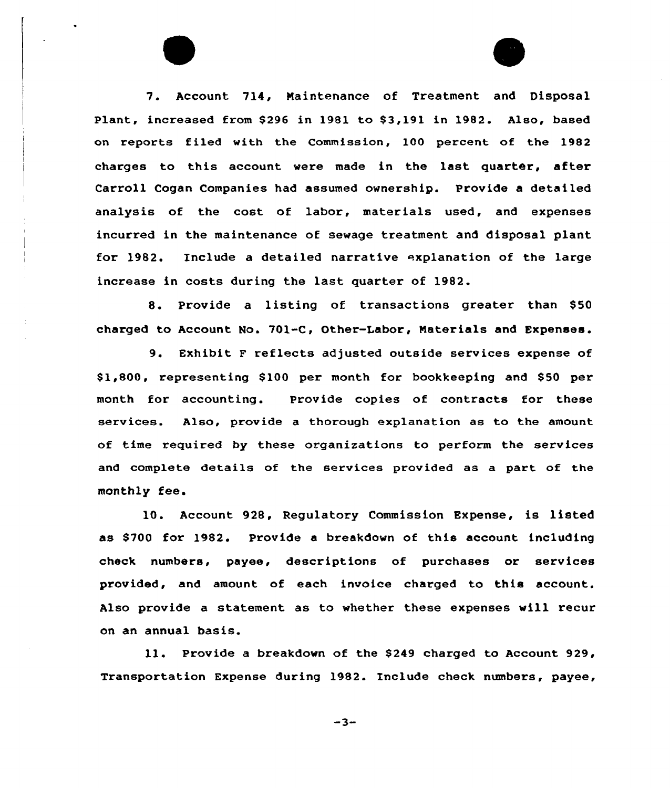7. Account 714, Maintenance of Treatment and Disposal Plant, increased from \$296 in 1981 to \$3,191 in 1982. Also, based on reports filed with the Commission, 100 percent of the 1982 charges to this account were made in the last quarter, after Carroll Cogan Companies had assumed ownership. Provide a detailed analysis of the cost of labor, materials used, and expenses incurred in the maintenance of sewage treatment and disposal plant for 1982. include a detailed narrative explanation of the large increase in costs during the last quarter of 1982.

8. Provide a listing of transactions greater than \$50 charged to Account No. 701-C, Other-Labor, Naterials and Expenses.

9. Exhibit <sup>F</sup> reflects adjusted outside services expense of \$1,800, representing \$100 per month for bookkeeping and \$50 per month for accounting. Provide copies of contracts for these services. Also, provide a thorough explanation as to the amount of time required by these organizations to perform the services and complete details of the services provided as a part of the monthly fee.

10. Account 928, Regulatory Commission Expense, is listed as \$700 for 1982. Provide a breakdown of this account including check numbers, payee, descriptions of purchases or services provided, and amount of each invoice charged to this account. Also provide a statement as to whether these expenses will recur on an annual basis.

11. Provide a breakdown of the \$249 charged to Account 929, Transportation Expense during 1982. include check numbers, payee,

 $-3-$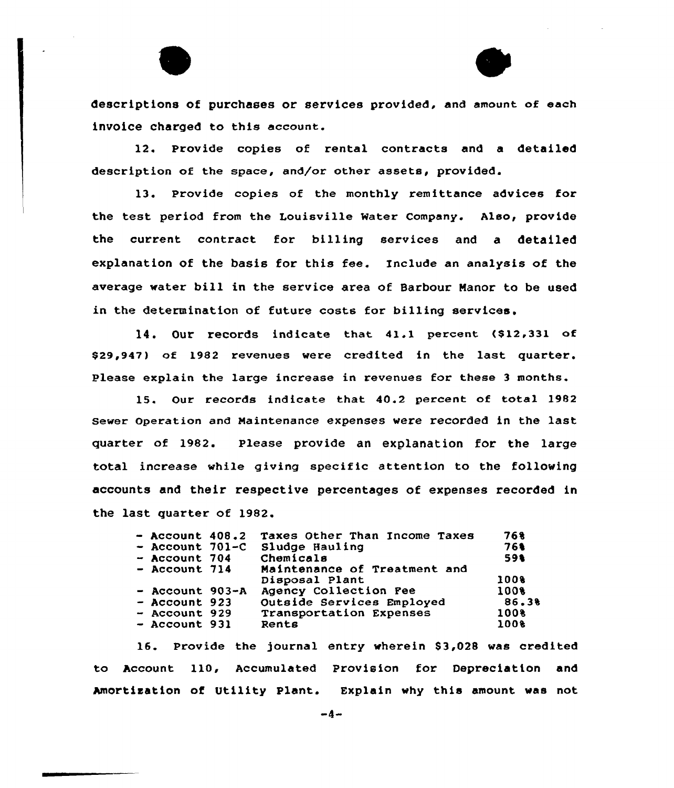

descriptions of purchases or services provided, and amount of each invoice charged to this account.

12. Provide copies of rental contracts and a detailed description of the space, and/or other assets, provided.

13. Provide copies of the monthly remittance advices for the test period from the Louisville Mater Company. Also, provide the current contract for billing services and a detailed explanation of the basis for this fee. Include an analysis af the average water bill in the service area of Barbour Manor to be used in the determination of future costs for billing services.

14. Our records indicate that 41.1 percent, (\$12,331 of \$29,947) of 1982 revenues were credited in the last quarter. Please explain the large increase in revenues for these 3 months.

15. Our records indicate that 40.2 percent of total 1982 sewer operation and Maintenance expenses were recorded in the last quarter af 1982. Please provide an explanation for the large total increase while giving specific attention to the following accounts and their respective percentages of expenses recorded in the last quarter of 1982.

| $-$ Account 408.2 | Taxes Other Than Income Taxes | 768   |
|-------------------|-------------------------------|-------|
| $-$ Account 701-C | Sludge Hauling                | 761   |
| $-$ Account 704   | Chemicals                     | 591   |
| $-$ Account 714   | Maintenance of Treatment and  |       |
|                   | Disposal Plant                | 1008  |
| $-$ Account 903-A | Agency Collection Pee         | 100%  |
| $-$ Account 923   | Outside Services Employed     | 86.38 |
| $-$ Account 929   | Transportation Expenses       | 100%  |
| $-$ Account 931   | Rents                         | 1008  |
|                   |                               |       |

16. Provide the journal entry wherein \$3,028 was credited to Account 110, Accumulated Provision for Depreciation and Amortisation of Utility Plant. Explain why this amount was not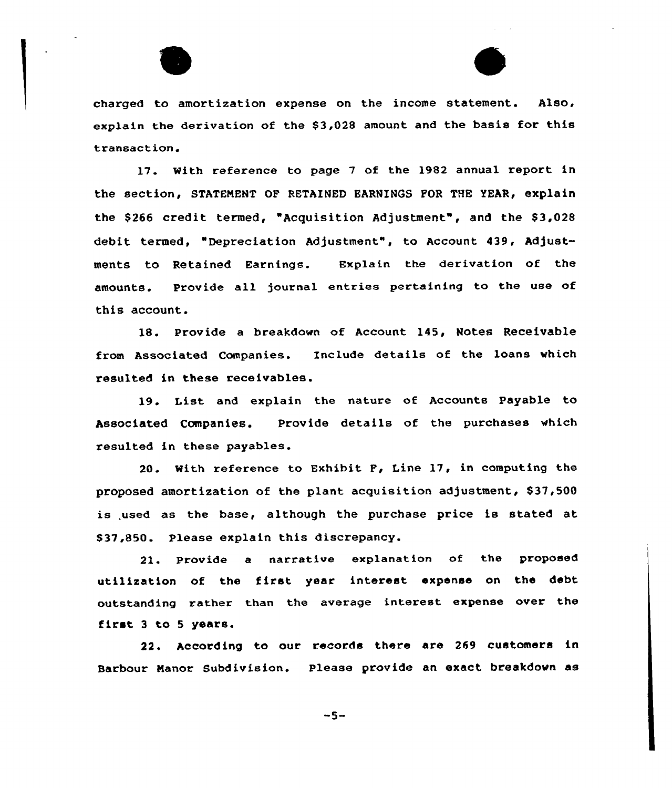



charged to amortization expense on the income statement. Also, explain the derivation of the \$3,028 amount and the basis for this transaction.

17. With reference to page <sup>7</sup> of the 1982 annual report in the section, STATENENT OF RETAINED EARNINGS FOR THE YEAR, explain the \$266 credit termed, "Acquisition Adjustment", and the \$3,028 debit termed, "Depreciation Adjustment", to Account 439, Adjustments to Retained Earnings. Explain the derivation of the amounts. Provide all journal entries pertaining to the use of this account.

18. Provide a breakdown of Account 145, Notes Receivable from Associated Companies. Include details of the loans which resulted in these receivables.

19. List and explain the nature of Accounts Payable to Associated Companies. Provide details of the purchases which resulted in these payables.

20. With reference to Exhibit F, Line 17, in computing the proposed amortization of the plant acquisition adjustment,  $$37,500$ is used as the base, although the purchase price is stated at \$ 37,850. Please explain this discrepancy.

21. Provide a narrative explanation of the proposed utilization of the first year interest expense on the debt outstanding rather than the average interest expense over the first <sup>3</sup> to <sup>5</sup> years.

22. According to our records there are 269 customers in Barbour Nanor Subdivision. Please provide an exact breakdown as

 $-5-$